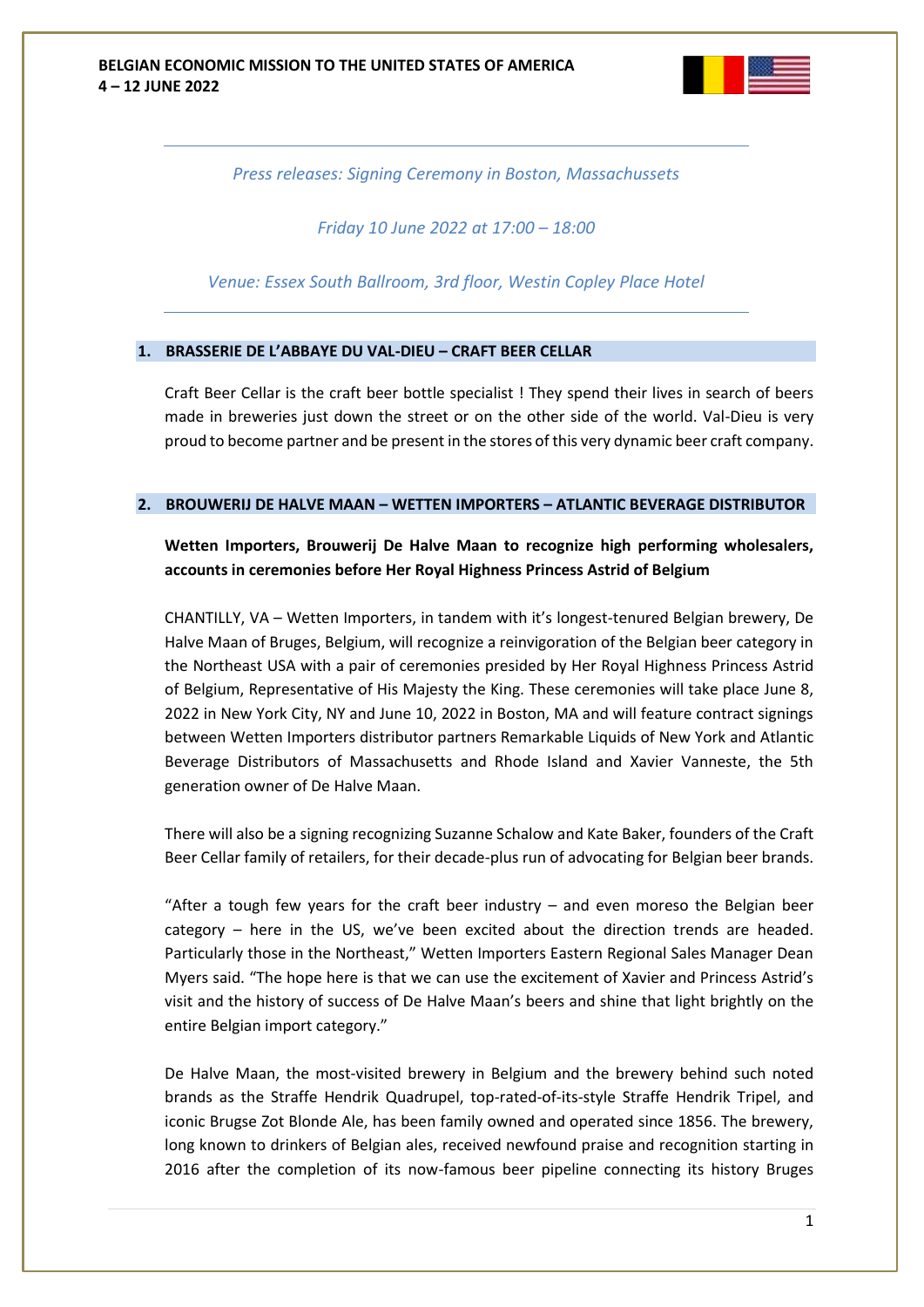

*Press releases: Signing Ceremony in Boston, Massachussets*

*Friday 10 June 2022 at 17:00 – 18:00*

*Venue: Essex South Ballroom, 3rd floor, Westin Copley Place Hotel*

## **1. BRASSERIE DE L'ABBAYE DU VAL-DIEU – CRAFT BEER CELLAR**

Craft Beer Cellar is the craft beer bottle specialist ! They spend their lives in search of beers made in breweries just down the street or on the other side of the world. Val-Dieu is very proud to become partner and be present in the stores of this very dynamic beer craft company.

## **2. BROUWERIJ DE HALVE MAAN – WETTEN IMPORTERS – ATLANTIC BEVERAGE DISTRIBUTOR**

**Wetten Importers, Brouwerij De Halve Maan to recognize high performing wholesalers, accounts in ceremonies before Her Royal Highness Princess Astrid of Belgium**

CHANTILLY, VA – Wetten Importers, in tandem with it's longest-tenured Belgian brewery, De Halve Maan of Bruges, Belgium, will recognize a reinvigoration of the Belgian beer category in the Northeast USA with a pair of ceremonies presided by Her Royal Highness Princess Astrid of Belgium, Representative of His Majesty the King. These ceremonies will take place June 8, 2022 in New York City, NY and June 10, 2022 in Boston, MA and will feature contract signings between Wetten Importers distributor partners Remarkable Liquids of New York and Atlantic Beverage Distributors of Massachusetts and Rhode Island and Xavier Vanneste, the 5th generation owner of De Halve Maan.

There will also be a signing recognizing Suzanne Schalow and Kate Baker, founders of the Craft Beer Cellar family of retailers, for their decade-plus run of advocating for Belgian beer brands.

"After a tough few years for the craft beer industry  $-$  and even moreso the Belgian beer category – here in the US, we've been excited about the direction trends are headed. Particularly those in the Northeast," Wetten Importers Eastern Regional Sales Manager Dean Myers said. "The hope here is that we can use the excitement of Xavier and Princess Astrid's visit and the history of success of De Halve Maan's beers and shine that light brightly on the entire Belgian import category."

De Halve Maan, the most-visited brewery in Belgium and the brewery behind such noted brands as the Straffe Hendrik Quadrupel, top-rated-of-its-style Straffe Hendrik Tripel, and iconic Brugse Zot Blonde Ale, has been family owned and operated since 1856. The brewery, long known to drinkers of Belgian ales, received newfound praise and recognition starting in 2016 after the completion of its now-famous beer pipeline connecting its history Bruges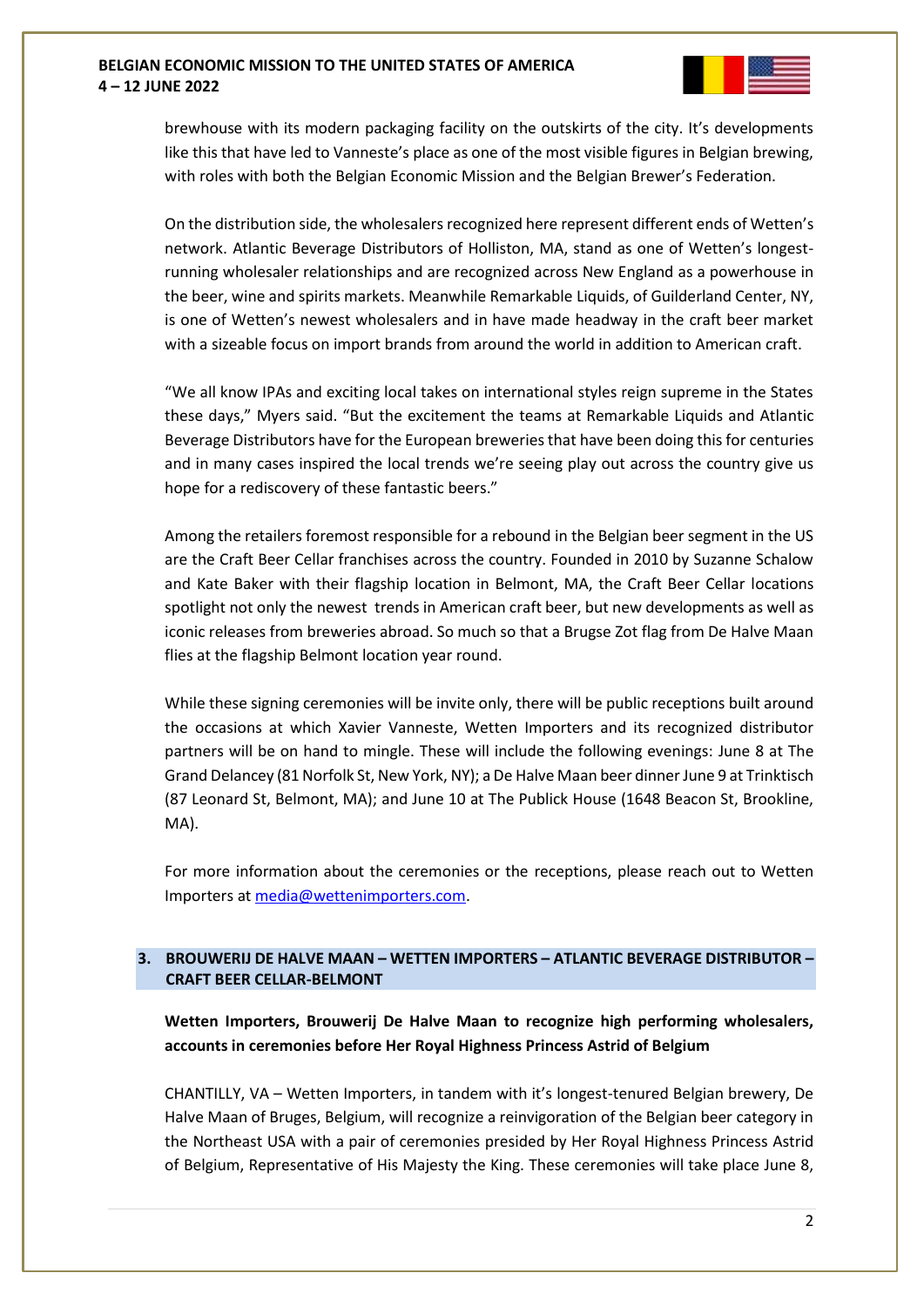

brewhouse with its modern packaging facility on the outskirts of the city. It's developments like this that have led to Vanneste's place as one of the most visible figures in Belgian brewing, with roles with both the Belgian Economic Mission and the Belgian Brewer's Federation.

On the distribution side, the wholesalers recognized here represent different ends of Wetten's network. Atlantic Beverage Distributors of Holliston, MA, stand as one of Wetten's longestrunning wholesaler relationships and are recognized across New England as a powerhouse in the beer, wine and spirits markets. Meanwhile Remarkable Liquids, of Guilderland Center, NY, is one of Wetten's newest wholesalers and in have made headway in the craft beer market with a sizeable focus on import brands from around the world in addition to American craft.

"We all know IPAs and exciting local takes on international styles reign supreme in the States these days," Myers said. "But the excitement the teams at Remarkable Liquids and Atlantic Beverage Distributors have for the European breweries that have been doing this for centuries and in many cases inspired the local trends we're seeing play out across the country give us hope for a rediscovery of these fantastic beers."

Among the retailers foremost responsible for a rebound in the Belgian beer segment in the US are the Craft Beer Cellar franchises across the country. Founded in 2010 by Suzanne Schalow and Kate Baker with their flagship location in Belmont, MA, the Craft Beer Cellar locations spotlight not only the newest trends in American craft beer, but new developments as well as iconic releases from breweries abroad. So much so that a Brugse Zot flag from De Halve Maan flies at the flagship Belmont location year round.

While these signing ceremonies will be invite only, there will be public receptions built around the occasions at which Xavier Vanneste, Wetten Importers and its recognized distributor partners will be on hand to mingle. These will include the following evenings: June 8 at The Grand Delancey (81 Norfolk St, New York, NY); a De Halve Maan beer dinner June 9 at Trinktisch (87 Leonard St, Belmont, MA); and June 10 at The Publick House (1648 Beacon St, Brookline, MA).

For more information about the ceremonies or the receptions, please reach out to Wetten Importers at [media@wettenimporters.com.](mailto:media@wettenimporters.com)

## **3. BROUWERIJ DE HALVE MAAN – WETTEN IMPORTERS – ATLANTIC BEVERAGE DISTRIBUTOR – CRAFT BEER CELLAR-BELMONT**

**Wetten Importers, Brouwerij De Halve Maan to recognize high performing wholesalers, accounts in ceremonies before Her Royal Highness Princess Astrid of Belgium**

CHANTILLY, VA – Wetten Importers, in tandem with it's longest-tenured Belgian brewery, De Halve Maan of Bruges, Belgium, will recognize a reinvigoration of the Belgian beer category in the Northeast USA with a pair of ceremonies presided by Her Royal Highness Princess Astrid of Belgium, Representative of His Majesty the King. These ceremonies will take place June 8,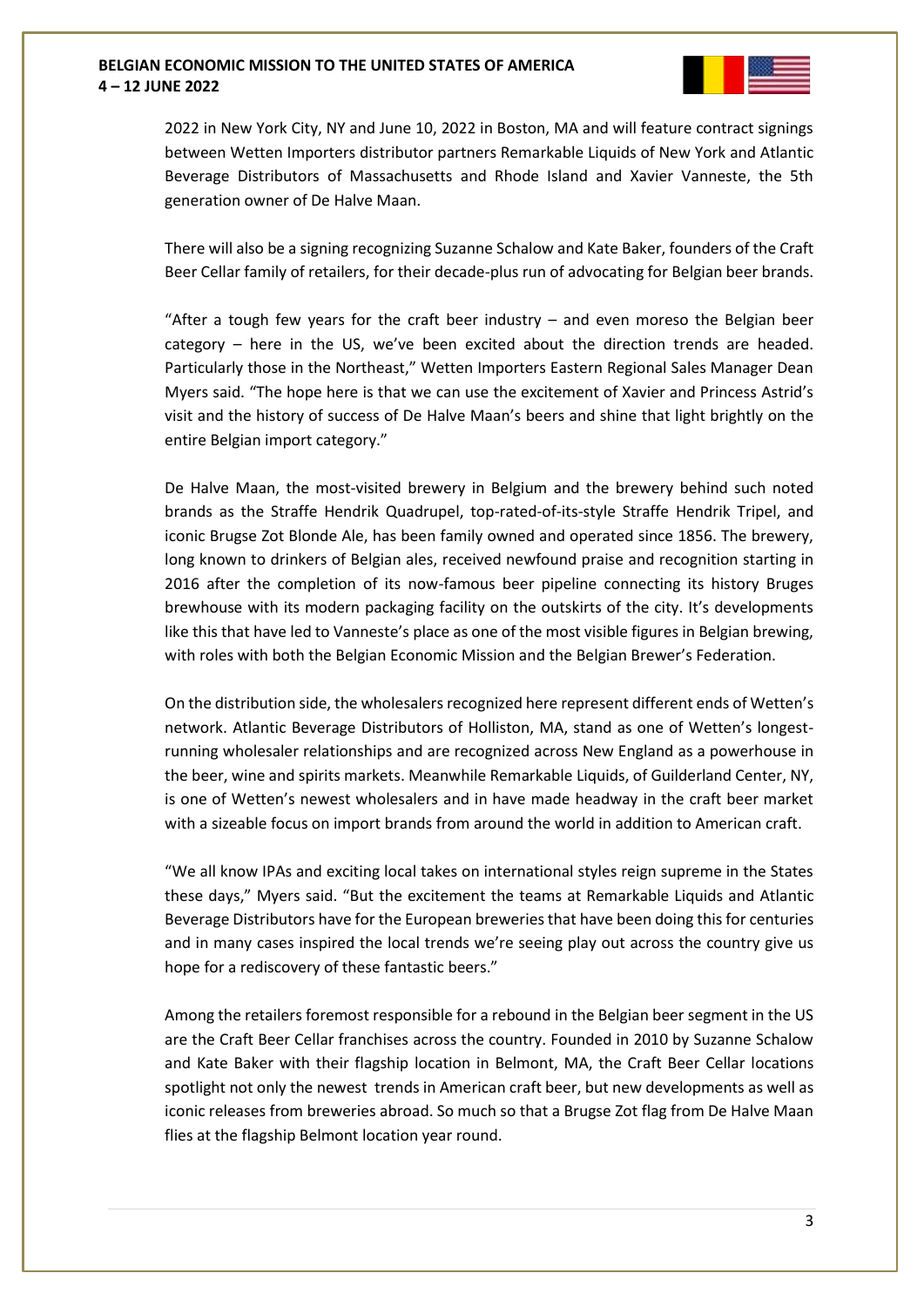

2022 in New York City, NY and June 10, 2022 in Boston, MA and will feature contract signings between Wetten Importers distributor partners Remarkable Liquids of New York and Atlantic Beverage Distributors of Massachusetts and Rhode Island and Xavier Vanneste, the 5th generation owner of De Halve Maan.

There will also be a signing recognizing Suzanne Schalow and Kate Baker, founders of the Craft Beer Cellar family of retailers, for their decade-plus run of advocating for Belgian beer brands.

"After a tough few years for the craft beer industry  $-$  and even moreso the Belgian beer category – here in the US, we've been excited about the direction trends are headed. Particularly those in the Northeast," Wetten Importers Eastern Regional Sales Manager Dean Myers said. "The hope here is that we can use the excitement of Xavier and Princess Astrid's visit and the history of success of De Halve Maan's beers and shine that light brightly on the entire Belgian import category."

De Halve Maan, the most-visited brewery in Belgium and the brewery behind such noted brands as the Straffe Hendrik Quadrupel, top-rated-of-its-style Straffe Hendrik Tripel, and iconic Brugse Zot Blonde Ale, has been family owned and operated since 1856. The brewery, long known to drinkers of Belgian ales, received newfound praise and recognition starting in 2016 after the completion of its now-famous beer pipeline connecting its history Bruges brewhouse with its modern packaging facility on the outskirts of the city. It's developments like this that have led to Vanneste's place as one of the most visible figures in Belgian brewing, with roles with both the Belgian Economic Mission and the Belgian Brewer's Federation.

On the distribution side, the wholesalers recognized here represent different ends of Wetten's network. Atlantic Beverage Distributors of Holliston, MA, stand as one of Wetten's longestrunning wholesaler relationships and are recognized across New England as a powerhouse in the beer, wine and spirits markets. Meanwhile Remarkable Liquids, of Guilderland Center, NY, is one of Wetten's newest wholesalers and in have made headway in the craft beer market with a sizeable focus on import brands from around the world in addition to American craft.

"We all know IPAs and exciting local takes on international styles reign supreme in the States these days," Myers said. "But the excitement the teams at Remarkable Liquids and Atlantic Beverage Distributors have for the European breweries that have been doing this for centuries and in many cases inspired the local trends we're seeing play out across the country give us hope for a rediscovery of these fantastic beers."

Among the retailers foremost responsible for a rebound in the Belgian beer segment in the US are the Craft Beer Cellar franchises across the country. Founded in 2010 by Suzanne Schalow and Kate Baker with their flagship location in Belmont, MA, the Craft Beer Cellar locations spotlight not only the newest trends in American craft beer, but new developments as well as iconic releases from breweries abroad. So much so that a Brugse Zot flag from De Halve Maan flies at the flagship Belmont location year round.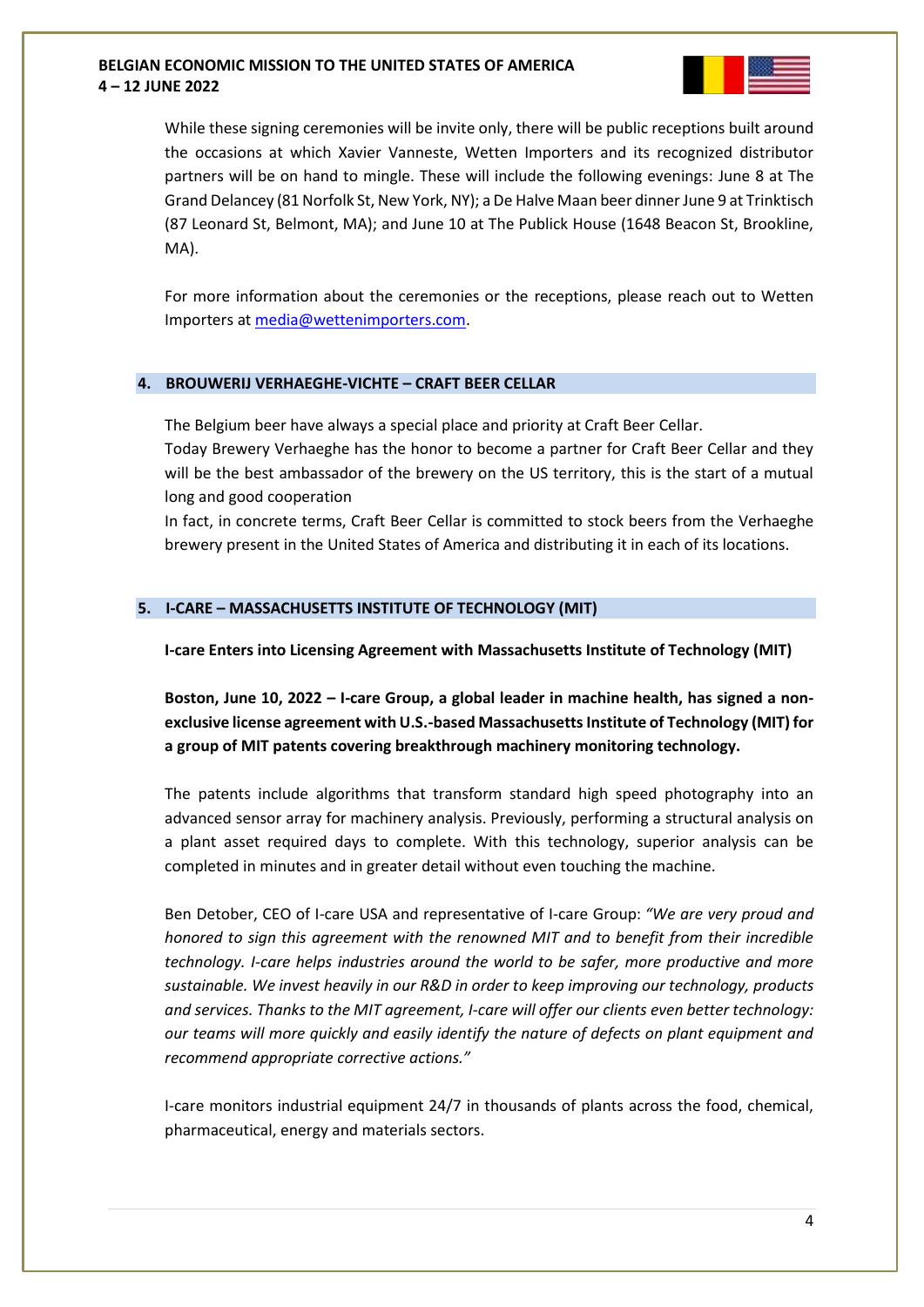

While these signing ceremonies will be invite only, there will be public receptions built around the occasions at which Xavier Vanneste, Wetten Importers and its recognized distributor partners will be on hand to mingle. These will include the following evenings: June 8 at The Grand Delancey (81 Norfolk St, New York, NY); a De Halve Maan beer dinner June 9 at Trinktisch (87 Leonard St, Belmont, MA); and June 10 at The Publick House (1648 Beacon St, Brookline, MA).

For more information about the ceremonies or the receptions, please reach out to Wetten Importers at [media@wettenimporters.com.](mailto:media@wettenimporters.com)

## **4. BROUWERIJ VERHAEGHE-VICHTE – CRAFT BEER CELLAR**

The Belgium beer have always a special place and priority at Craft Beer Cellar.

Today Brewery Verhaeghe has the honor to become a partner for Craft Beer Cellar and they will be the best ambassador of the brewery on the US territory, this is the start of a mutual long and good cooperation

In fact, in concrete terms, Craft Beer Cellar is committed to stock beers from the Verhaeghe brewery present in the United States of America and distributing it in each of its locations.

## **5. I-CARE – MASSACHUSETTS INSTITUTE OF TECHNOLOGY (MIT)**

**I-care Enters into Licensing Agreement with Massachusetts Institute of Technology (MIT)**

**Boston, June 10, 2022 – I-care Group, a global leader in machine health, has signed a nonexclusive license agreement with U.S.-based Massachusetts Institute of Technology (MIT) for a group of MIT patents covering breakthrough machinery monitoring technology.**

The patents include algorithms that transform standard high speed photography into an advanced sensor array for machinery analysis. Previously, performing a structural analysis on a plant asset required days to complete. With this technology, superior analysis can be completed in minutes and in greater detail without even touching the machine.

Ben Detober, CEO of I-care USA and representative of I-care Group: *"We are very proud and honored to sign this agreement with the renowned MIT and to benefit from their incredible technology. I-care helps industries around the world to be safer, more productive and more sustainable. We invest heavily in our R&D in order to keep improving our technology, products and services. Thanks to the MIT agreement, I-care will offer our clients even better technology: our teams will more quickly and easily identify the nature of defects on plant equipment and recommend appropriate corrective actions."*

I-care monitors industrial equipment 24/7 in thousands of plants across the food, chemical, pharmaceutical, energy and materials sectors.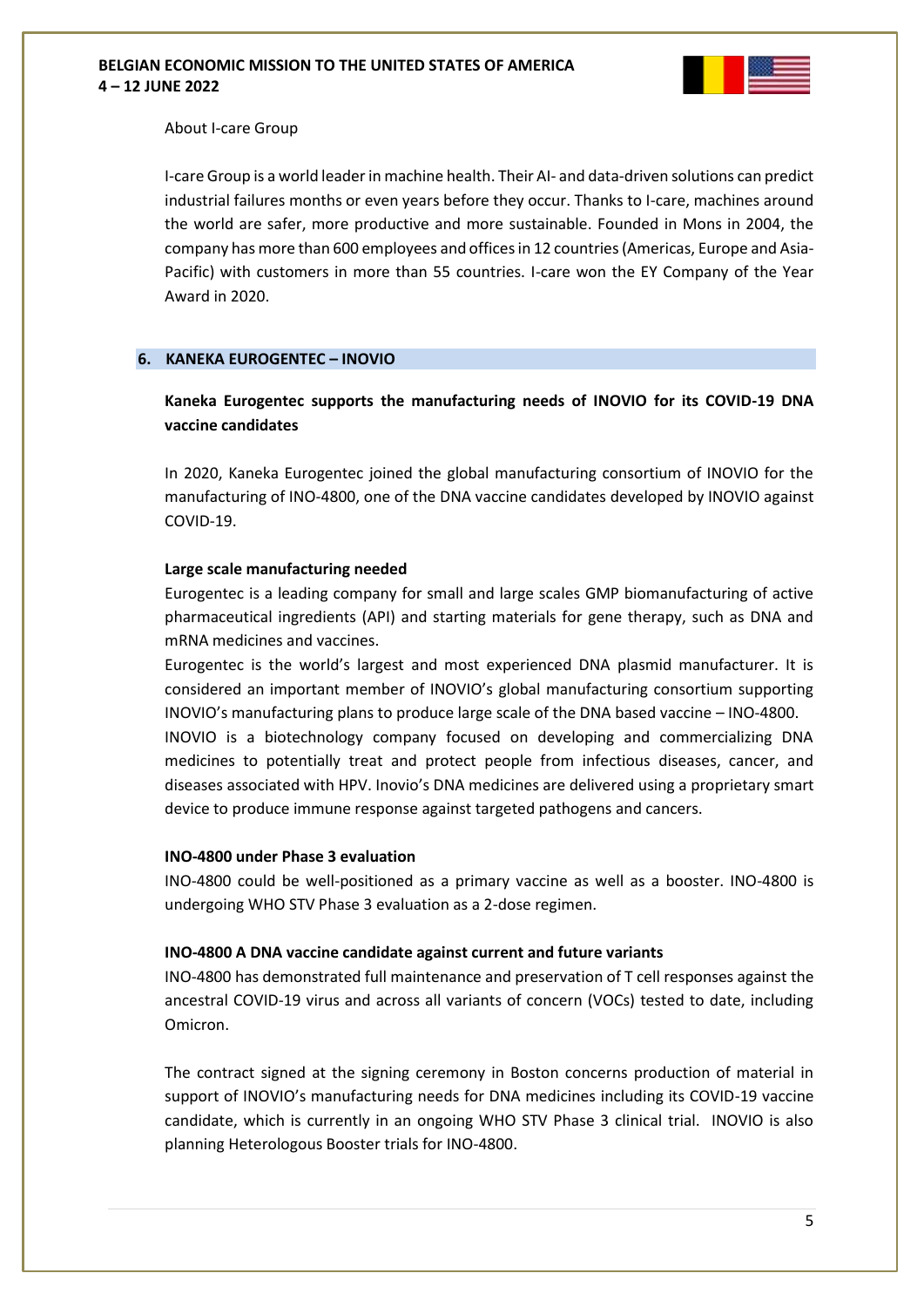

### About I-care Group

I-care Group is a world leader in machine health. Their AI- and data-driven solutions can predict industrial failures months or even years before they occur. Thanks to I-care, machines around the world are safer, more productive and more sustainable. Founded in Mons in 2004, the company has more than 600 employees and offices in 12 countries (Americas, Europe and Asia-Pacific) with customers in more than 55 countries. I-care won the EY Company of the Year Award in 2020.

## **6. KANEKA EUROGENTEC – INOVIO**

# **Kaneka Eurogentec supports the manufacturing needs of INOVIO for its COVID-19 DNA vaccine candidates**

In 2020, Kaneka Eurogentec joined the global manufacturing consortium of INOVIO for the manufacturing of INO-4800, one of the DNA vaccine candidates developed by INOVIO against COVID-19.

#### **Large scale manufacturing needed**

Eurogentec is a leading company for small and large scales GMP biomanufacturing of active pharmaceutical ingredients (API) and starting materials for gene therapy, such as DNA and mRNA medicines and vaccines.

Eurogentec is the world's largest and most experienced DNA plasmid manufacturer. It is considered an important member of INOVIO's global manufacturing consortium supporting INOVIO's manufacturing plans to produce large scale of the DNA based vaccine – INO-4800.

INOVIO is a biotechnology company focused on developing and commercializing DNA medicines to potentially treat and protect people from infectious diseases, cancer, and diseases associated with HPV. Inovio's DNA medicines are delivered using a proprietary smart device to produce immune response against targeted pathogens and cancers.

#### **INO-4800 under Phase 3 evaluation**

INO-4800 could be well-positioned as a primary vaccine as well as a booster. INO-4800 is undergoing WHO STV Phase 3 evaluation as a 2-dose regimen.

#### **INO-4800 A DNA vaccine candidate against current and future variants**

INO-4800 has demonstrated full maintenance and preservation of T cell responses against the ancestral COVID-19 virus and across all variants of concern (VOCs) tested to date, including Omicron.

The contract signed at the signing ceremony in Boston concerns production of material in support of INOVIO's manufacturing needs for DNA medicines including its COVID-19 vaccine candidate, which is currently in an ongoing WHO STV Phase 3 clinical trial. INOVIO is also planning Heterologous Booster trials for INO-4800.